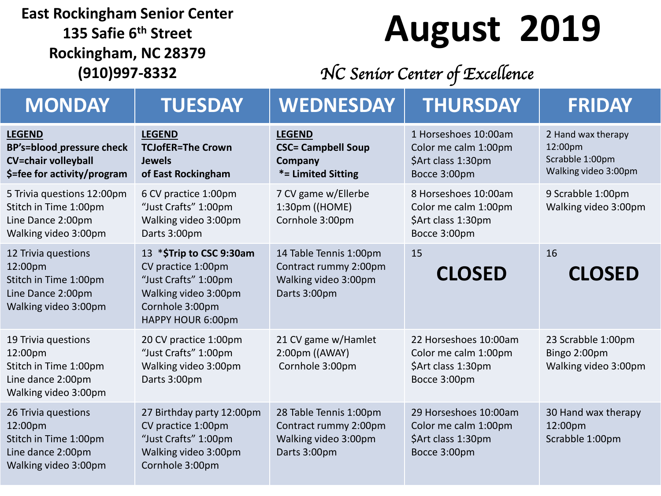#### **East Rockingham Senior Center 135 Safie 6th Street Rockingham, NC 28379 (910)997-8332**

### **August 2019**

#### *NC Senior Center of Excellence*

| <b>MONDAY</b>                                                                                                  | <b>TUESDAY</b>                                                                                                                         | <b>WEDNESDAY</b>                                                                        | <b>THURSDAY</b>                                                                     | <b>FRIDAY</b>                                                            |
|----------------------------------------------------------------------------------------------------------------|----------------------------------------------------------------------------------------------------------------------------------------|-----------------------------------------------------------------------------------------|-------------------------------------------------------------------------------------|--------------------------------------------------------------------------|
| <b>LEGEND</b><br><b>BP's=blood pressure check</b><br><b>CV=chair volleyball</b><br>\$=fee for activity/program | <b>LEGEND</b><br><b>TCJofER=The Crown</b><br><b>Jewels</b><br>of East Rockingham                                                       | <b>LEGEND</b><br><b>CSC= Campbell Soup</b><br>Company<br>*= Limited Sitting             | 1 Horseshoes 10:00am<br>Color me calm 1:00pm<br>\$Art class 1:30pm<br>Bocce 3:00pm  | 2 Hand wax therapy<br>12:00pm<br>Scrabble 1:00pm<br>Walking video 3:00pm |
| 5 Trivia questions 12:00pm<br>Stitch in Time 1:00pm<br>Line Dance 2:00pm<br>Walking video 3:00pm               | 6 CV practice 1:00pm<br>"Just Crafts" 1:00pm<br>Walking video 3:00pm<br>Darts 3:00pm                                                   | 7 CV game w/Ellerbe<br>1:30pm ((HOME)<br>Cornhole 3:00pm                                | 8 Horseshoes 10:00am<br>Color me calm 1:00pm<br>\$Art class 1:30pm<br>Bocce 3:00pm  | 9 Scrabble 1:00pm<br>Walking video 3:00pm                                |
| 12 Trivia questions<br>12:00pm<br>Stitch in Time 1:00pm<br>Line Dance 2:00pm<br>Walking video 3:00pm           | 13 *\$Trip to CSC 9:30am<br>CV practice 1:00pm<br>"Just Crafts" 1:00pm<br>Walking video 3:00pm<br>Cornhole 3:00pm<br>HAPPY HOUR 6:00pm | 14 Table Tennis 1:00pm<br>Contract rummy 2:00pm<br>Walking video 3:00pm<br>Darts 3:00pm | 15<br><b>CLOSED</b>                                                                 | 16<br><b>CLOSED</b>                                                      |
| 19 Trivia questions<br>12:00pm<br>Stitch in Time 1:00pm<br>Line dance 2:00pm<br>Walking video 3:00pm           | 20 CV practice 1:00pm<br>"Just Crafts" 1:00pm<br>Walking video 3:00pm<br>Darts 3:00pm                                                  | 21 CV game w/Hamlet<br>2:00pm ((AWAY)<br>Cornhole 3:00pm                                | 22 Horseshoes 10:00am<br>Color me calm 1:00pm<br>\$Art class 1:30pm<br>Bocce 3:00pm | 23 Scrabble 1:00pm<br>Bingo 2:00pm<br>Walking video 3:00pm               |
| 26 Trivia questions<br>12:00pm<br>Stitch in Time 1:00pm<br>Line dance 2:00pm<br>Walking video 3:00pm           | 27 Birthday party 12:00pm<br>CV practice 1:00pm<br>"Just Crafts" 1:00pm<br>Walking video 3:00pm<br>Cornhole 3:00pm                     | 28 Table Tennis 1:00pm<br>Contract rummy 2:00pm<br>Walking video 3:00pm<br>Darts 3:00pm | 29 Horseshoes 10:00am<br>Color me calm 1:00pm<br>\$Art class 1:30pm<br>Bocce 3:00pm | 30 Hand wax therapy<br>12:00pm<br>Scrabble 1:00pm                        |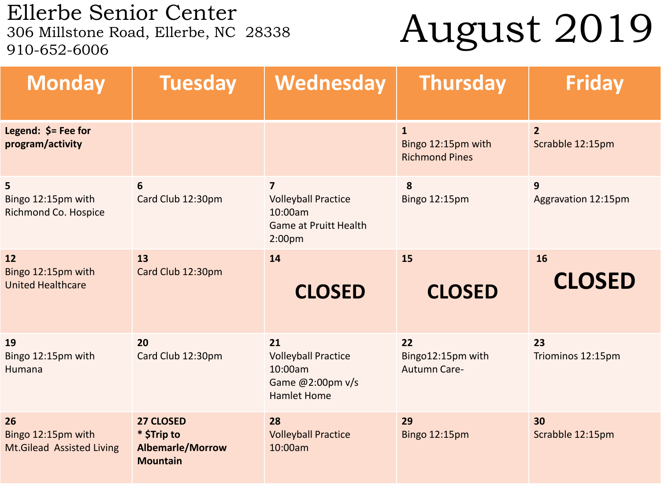Ellerbe Senior Center<br>306 Millstone Road, Ellerbe, NC 28338 910-652-6006

## August 2019

| <b>Monday</b>                                                | <b>Tuesday</b>                                                         | Wednesday                                                                                                      | <b>Thursday</b>                                             | <b>Friday</b>                      |
|--------------------------------------------------------------|------------------------------------------------------------------------|----------------------------------------------------------------------------------------------------------------|-------------------------------------------------------------|------------------------------------|
| Legend: $$=$ Fee for<br>program/activity                     |                                                                        |                                                                                                                | $\mathbf{1}$<br>Bingo 12:15pm with<br><b>Richmond Pines</b> | $\overline{2}$<br>Scrabble 12:15pm |
| 5<br>Bingo 12:15pm with<br>Richmond Co. Hospice              | 6<br>Card Club 12:30pm                                                 | $\overline{7}$<br><b>Volleyball Practice</b><br>10:00am<br><b>Game at Pruitt Health</b><br>2:00 <sub>p</sub> m | 8<br>Bingo 12:15pm                                          | 9<br>Aggravation 12:15pm           |
| 12<br>Bingo 12:15pm with<br><b>United Healthcare</b>         | 13<br>Card Club 12:30pm                                                | 14<br><b>CLOSED</b>                                                                                            | 15<br><b>CLOSED</b>                                         | 16<br><b>CLOSED</b>                |
| 19<br>Bingo 12:15pm with<br><b>Humana</b>                    | 20<br>Card Club 12:30pm                                                | 21<br><b>Volleyball Practice</b><br>10:00am<br>Game @2:00pm v/s<br><b>Hamlet Home</b>                          | 22<br>Bingo12:15pm with<br><b>Autumn Care-</b>              | 23<br>Triominos 12:15pm            |
| 26<br>Bingo 12:15pm with<br><b>Mt.Gilead Assisted Living</b> | 27 CLOSED<br>* \$Trip to<br><b>Albemarle/Morrow</b><br><b>Mountain</b> | 28<br><b>Volleyball Practice</b><br>10:00am                                                                    | 29<br><b>Bingo 12:15pm</b>                                  | 30<br>Scrabble 12:15pm             |